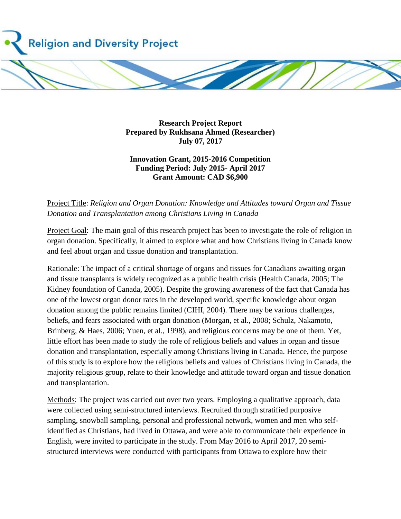

**Research Project Report Prepared by Rukhsana Ahmed (Researcher) July 07, 2017**

## **Innovation Grant, 2015-2016 Competition Funding Period: July 2015- April 2017 Grant Amount: CAD \$6,900**

Project Title: *Religion and Organ Donation: Knowledge and Attitudes toward Organ and Tissue Donation and Transplantation among Christians Living in Canada*

Project Goal: The main goal of this research project has been to investigate the role of religion in organ donation. Specifically, it aimed to explore what and how Christians living in Canada know and feel about organ and tissue donation and transplantation.

Rationale: The impact of a critical shortage of organs and tissues for Canadians awaiting organ and tissue transplants is widely recognized as a public health crisis (Health Canada, 2005; The Kidney foundation of Canada, 2005). Despite the growing awareness of the fact that Canada has one of the lowest organ donor rates in the developed world, specific knowledge about organ donation among the public remains limited (CIHI, 2004). There may be various challenges, beliefs, and fears associated with organ donation (Morgan, et al., 2008; Schulz, Nakamoto, Brinberg, & Haes, 2006; Yuen, et al., 1998), and religious concerns may be one of them. Yet, little effort has been made to study the role of religious beliefs and values in organ and tissue donation and transplantation, especially among Christians living in Canada. Hence, the purpose of this study is to explore how the religious beliefs and values of Christians living in Canada, the majority religious group, relate to their knowledge and attitude toward organ and tissue donation and transplantation.

Methods: The project was carried out over two years. Employing a qualitative approach, data were collected using semi-structured interviews. Recruited through stratified purposive sampling, snowball sampling, personal and professional network, women and men who selfidentified as Christians, had lived in Ottawa, and were able to communicate their experience in English, were invited to participate in the study. From May 2016 to April 2017, 20 semistructured interviews were conducted with participants from Ottawa to explore how their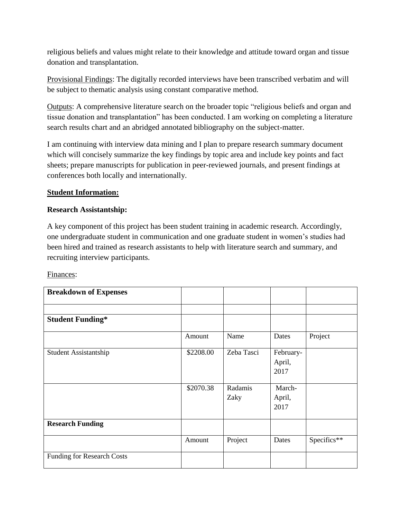religious beliefs and values might relate to their knowledge and attitude toward organ and tissue donation and transplantation.

Provisional Findings: The digitally recorded interviews have been transcribed verbatim and will be subject to thematic analysis using constant comparative method.

Outputs: A comprehensive literature search on the broader topic "religious beliefs and organ and tissue donation and transplantation" has been conducted. I am working on completing a literature search results chart and an abridged annotated bibliography on the subject-matter.

I am continuing with interview data mining and I plan to prepare research summary document which will concisely summarize the key findings by topic area and include key points and fact sheets; prepare manuscripts for publication in peer-reviewed journals, and present findings at conferences both locally and internationally.

## **Student Information:**

## **Research Assistantship:**

A key component of this project has been student training in academic research. Accordingly, one undergraduate student in communication and one graduate student in women's studies had been hired and trained as research assistants to help with literature search and summary, and recruiting interview participants.

Finances:

| <b>Breakdown of Expenses</b>      |           |                 |                             |             |
|-----------------------------------|-----------|-----------------|-----------------------------|-------------|
|                                   |           |                 |                             |             |
| <b>Student Funding*</b>           |           |                 |                             |             |
|                                   | Amount    | Name            | Dates                       | Project     |
| Student Assistantship             | \$2208.00 | Zeba Tasci      | February-<br>April,<br>2017 |             |
|                                   | \$2070.38 | Radamis<br>Zaky | March-<br>April,<br>2017    |             |
| <b>Research Funding</b>           |           |                 |                             |             |
|                                   | Amount    | Project         | Dates                       | Specifics** |
| <b>Funding for Research Costs</b> |           |                 |                             |             |